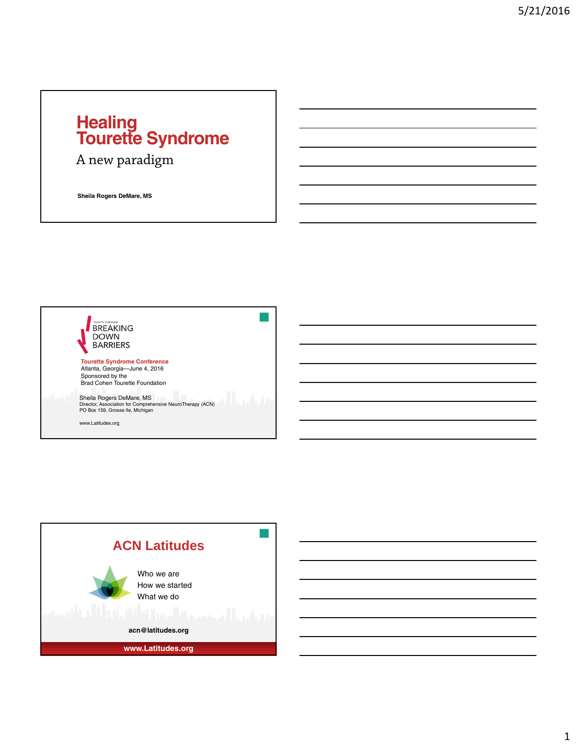#### **Healing Tourette Syndrome**

A new paradigm

**Sheila Rogers DeMare, MS**



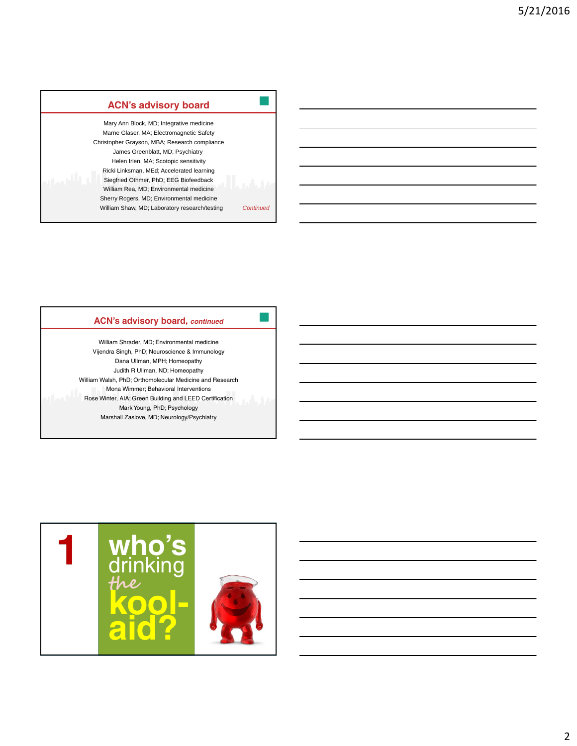| <b>ACN's advisory board</b>                                                                                                                                                                                                                                                                                                                                                                                                                        |           |
|----------------------------------------------------------------------------------------------------------------------------------------------------------------------------------------------------------------------------------------------------------------------------------------------------------------------------------------------------------------------------------------------------------------------------------------------------|-----------|
| Mary Ann Block, MD; Integrative medicine<br>Marne Glaser, MA; Electromagnetic Safety<br>Christopher Grayson, MBA; Research compliance<br>James Greenblatt, MD; Psychiatry<br>Helen Irlen, MA; Scotopic sensitivity<br>Ricki Linksman, MEd; Accelerated learning<br>Siegfried Othmer, PhD; EEG Biofeedback<br>William Rea, MD; Environmental medicine<br>Sherry Rogers, MD; Environmental medicine<br>William Shaw, MD; Laboratory research/testing | Continued |

#### **ACN's advisory board,** *continued*

William Shrader, MD; Environmental medicine Vijendra Singh, PhD; Neuroscience & Immunology Dana Ullman, MPH; Homeopathy Judith R Ullman, ND; Homeopathy William Walsh, PhD; Orthomolecular Medicine and Research Mona Wimmer; Behavioral Interventions Rose Winter, AIA; Green Building and LEED Certification Mark Young, PhD; Psychology Marshall Zaslove, MD; Neurology/Psychiatry

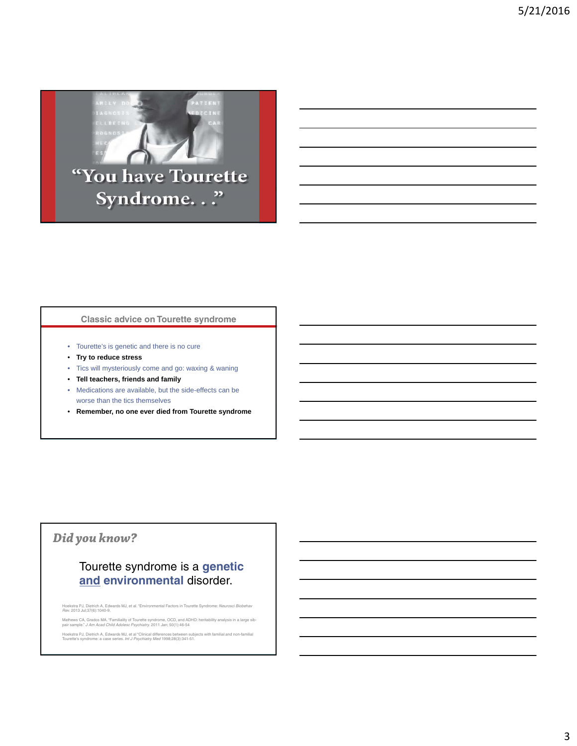

"You have Tourette Syndrome..."

#### **Classic advice on Tourette syndrome**

- Tourette's is genetic and there is no cure
- **Try to reduce stress**
- Tics will mysteriously come and go: waxing & waning
- **Tell teachers, friends and family**
- Medications are available, but the side-effects can be worse than the tics themselves
- **Remember, no one ever died from Tourette syndrome**

#### *Did you know?*

#### Tourette syndrome is a **genetic and environmental** disorder.

Hoekstra PJ, Dietrich A, Edwards MJ, et al. "Environmental Factors in Tourette Syndrome: *Neurosci Biobehav Rev*. 2013 Jul;37(6):1040-9.

Mathews CA, Grados MA. "Familiality of Tourette syndrome, OCD, and ADHD: heritability analysis in a large sib-pair sample." *J Am Acad Child Adolesc Psychiatry*. 2011 Jan; 50(1):46-54

Hoekstra PJ, Dietrich A, Edwards MJ, et al "Clinical differences between subjects with familial and non-familial Tourette's syndrome: a case series. *Int J Psychiatry Med* 1998;28(3):341-51.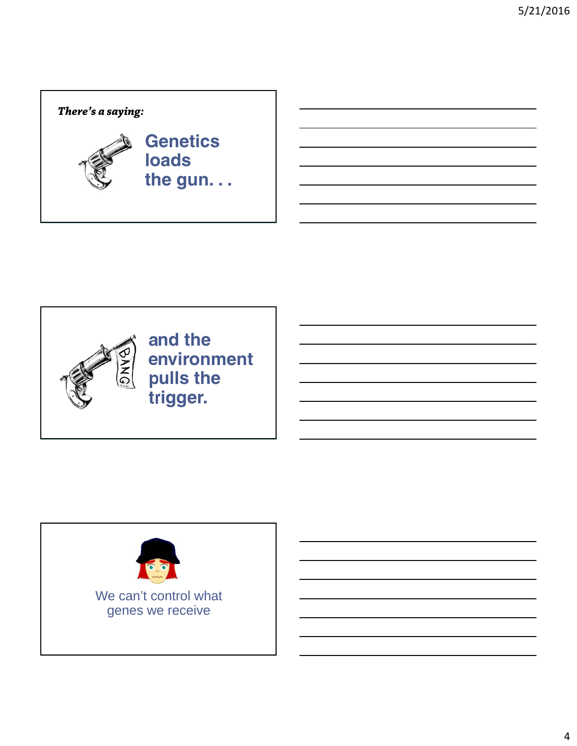### **Genetics loads the gun. . .**  *There's a saying:*



**and the environment pulls the trigger.**

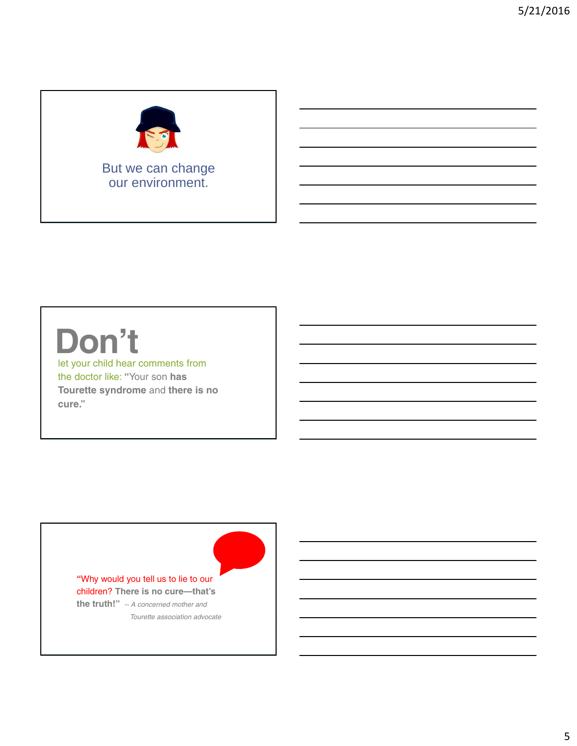

But we can change our environment.

## **Don't**

let your child hear comments from the doctor like: **"**Your son **has Tourette syndrome** and **there is no cure."**

> **"**Why would you tell us to lie to our children? **There is no cure—that's the truth!"** *-- A concerned mother and*

> > *Tourette association advocate*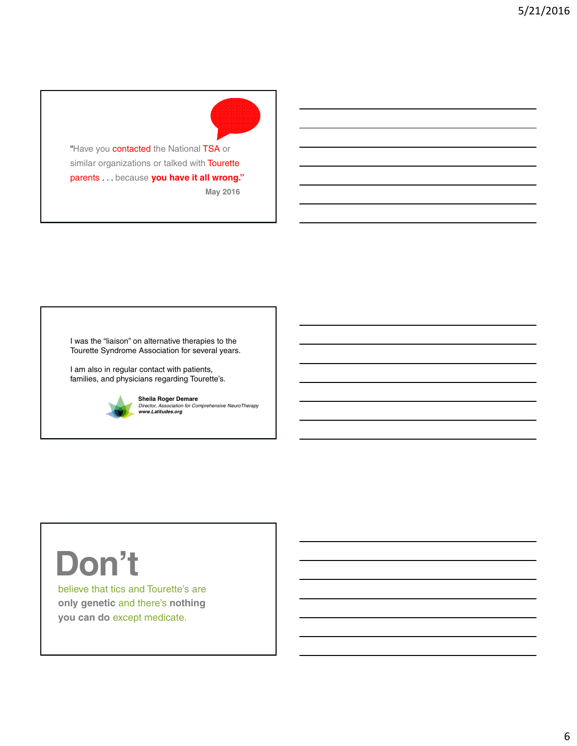"Have you **contacted** the National TSA or similar organizations or talked with **Tourette** parents . . . because **you have it all wrong."**

**May 2016**

I was the "liaison" on alternative therapies to the Tourette Syndrome Association for several years.

I am also in regular contact with patients, families, and physicians regarding Tourette's.



**Sheila Roger Demare** *Director, Association for Comprehensive NeuroTherapy www.Latitudes.org*

## **Don't**

believe that tics and Tourette's are **only genetic** and there's **nothing you can do** except medicate.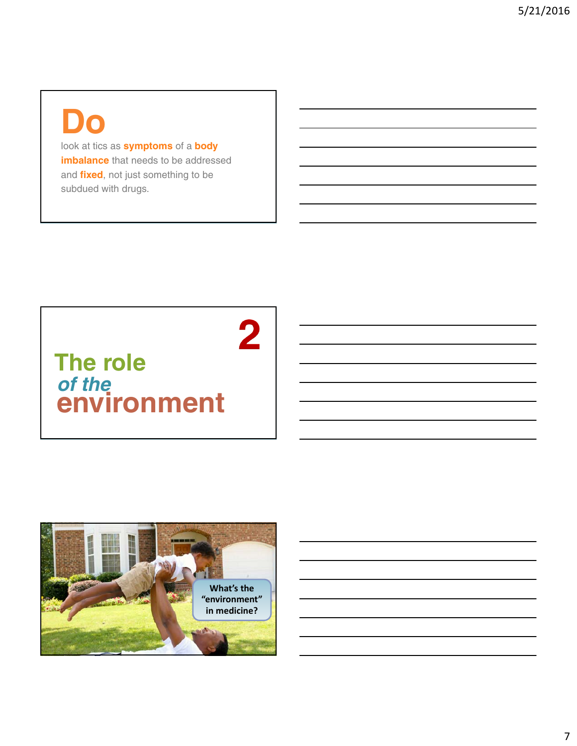### **Do**

look at tics as **symptoms** of a **body imbalance** that needs to be addressed and **fixed**, not just something to be subdued with drugs.

### *of the*  **environment The role**

 $\overline{\mathbf{2}}$ 

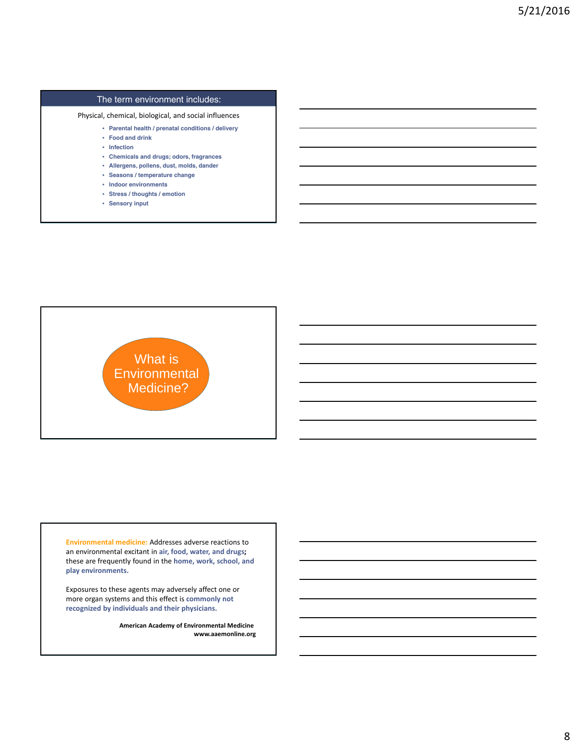#### The term environment includes:

Physical, chemical, biological, and social influences

- **Parental health / prenatal conditions / delivery**
- **Food and drink**
- **Infection**
- **Chemicals and drugs; odors, fragrances**
- **Allergens, pollens, dust, molds, dander**
- **Seasons / temperature change**
- **Indoor environments**
- **Stress / thoughts / emotion**
- **Sensory input**



**Environmental medicine:** Addresses adverse reactions to an environmental excitant in **air, food, water, and drugs;** these are frequently found in the **home, work, school, and play environments.**

Exposures to these agents may adversely affect one or more organ systems and this effect is **commonly not recognized by individuals and their physicians.**

> **American Academy of Environmental Medicine www.aaemonline.org**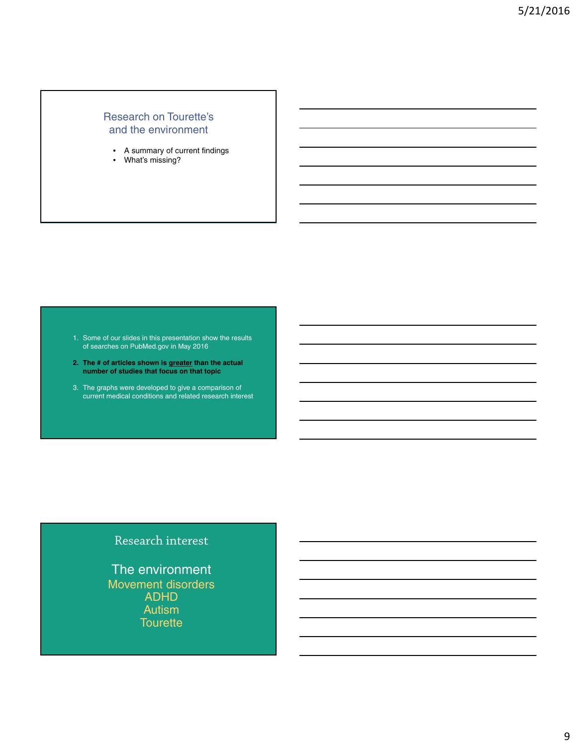#### Research on Tourette's and the environment

- A summary of current findings
- What's missing?

1. Some of our slides in this presentation show the results of searches on PubMed.gov in May 2016

- **2. The # of articles shown is greater than the actual number of studies that focus on that topic**
- 3. The graphs were developed to give a comparison of current medical conditions and related research interest

#### Research interest

The environment Movement disorders ADHD Autism **Tourette**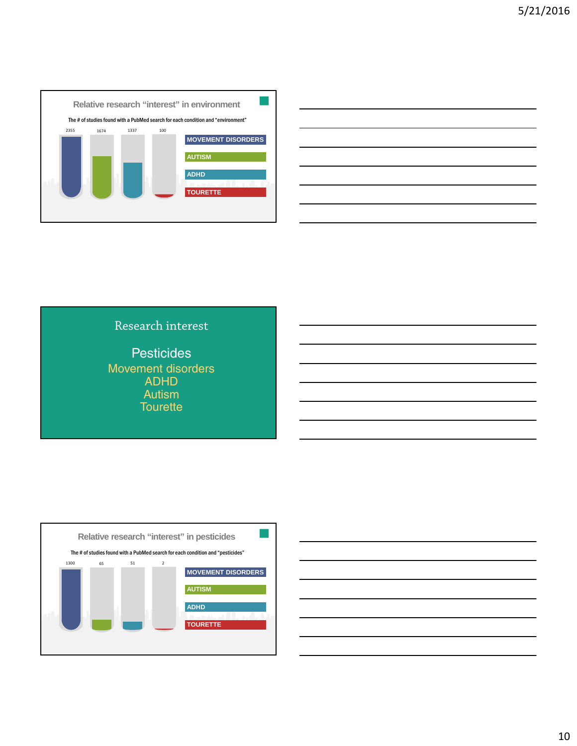





**Pesticides** Movement disorders ADHD Autism **Tourette** 



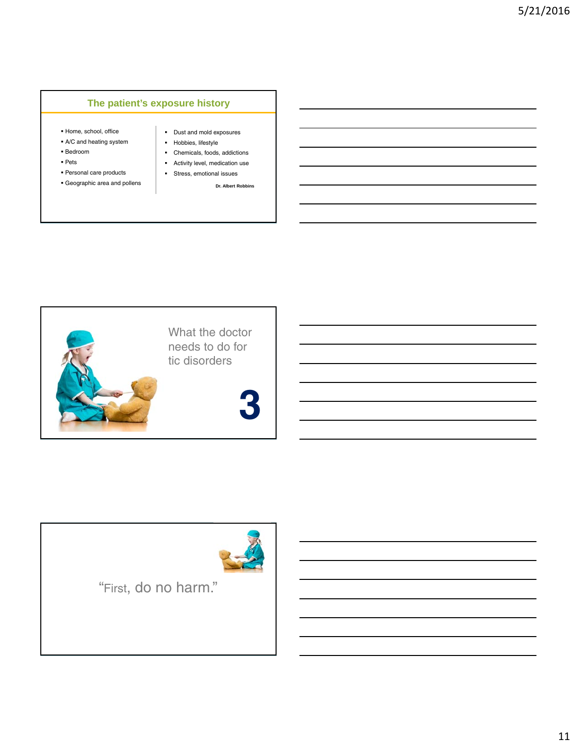#### **The patient's exposure history**

- Home, school, office
- A/C and heating system
- Bedroom
- Pets
- Personal care products
- Geographic area and pollens
- Dust and mold exposures
- **Hobbies**, lifestyle
- Chemicals, foods, addictions Activity level, medication use
- Stress, emotional issues

**Dr. Albert Robbins**





"First, do no harm."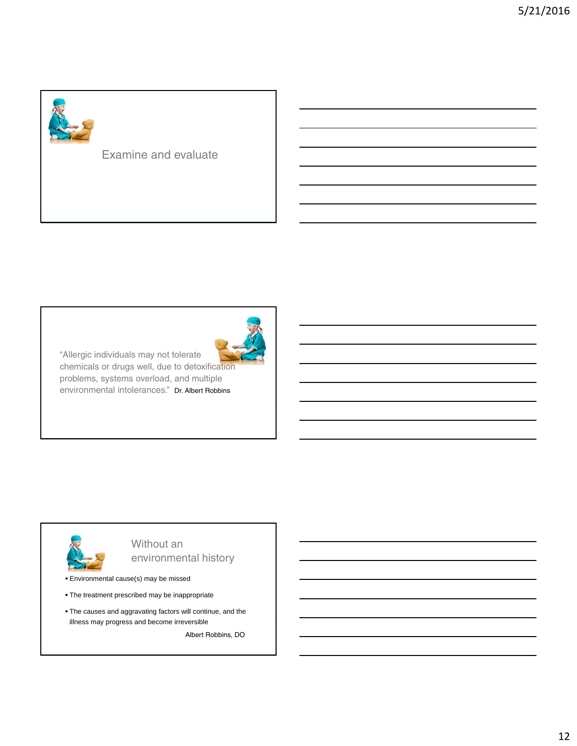

#### Examine and evaluate



"Allergic individuals may not tolerate chemicals or drugs well, due to detoxification problems, systems overload, and multiple environmental intolerances." Dr. Albert Robbins



Without an environmental history

Environmental cause(s) may be missed

- The treatment prescribed may be inappropriate
- The causes and aggravating factors will continue, and the illness may progress and become irreversible

Albert Robbins, DO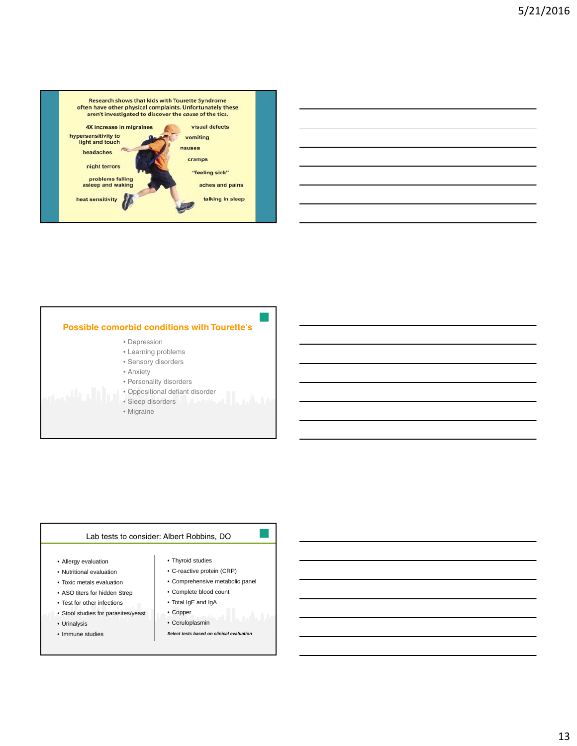



- Depression
- Learning problems
- Sensory disorders
- Anxiety
- Personality disorders
- Oppositional defiant disorder
- Sleep disorders
- Migraine

#### Lab tests to consider: Albert Robbins, DO

- Allergy evaluation
- Nutritional evaluation
- Toxic metals evaluation
- ASO titers for hidden Strep
- Test for other infections
- Stool studies for parasites/yeast
- Urinalysis
- Immune studies
- Thyroid studies • C-reactive protein (CRP)
- Comprehensive metabolic panel
- Complete blood count
- Total IgE and IgA
- Copper
- Ceruloplasmin
- *Select tests based on clinical evaluation*

13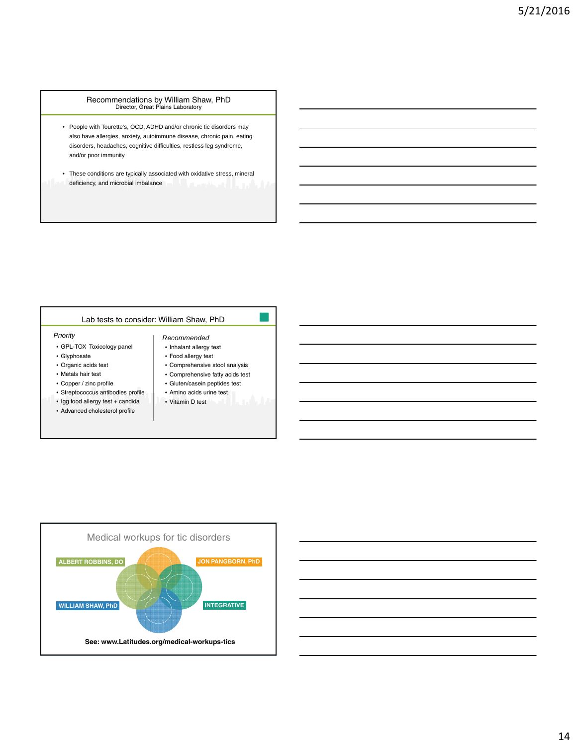Recommendations by William Shaw, PhD Director, Great Plains Laboratory

- People with Tourette's, OCD, ADHD and/or chronic tic disorders may also have allergies, anxiety, autoimmune disease, chronic pain, eating disorders, headaches, cognitive difficulties, restless leg syndrome, and/or poor immunity
- These conditions are typically associated with oxidative stress, mineral deficiency, and microbial imbalance

#### Lab tests to consider: William Shaw, PhD

#### *Priority* **Recommended Recommended**

- GPL-TOX Toxicology panel
- Glyphosate
- Organic acids test
- Metals hair test
- Copper / zinc profile
- Streptococcus antibodies profile
- Igg food allergy test + candida
- Advanced cholesterol profile

| nmended |
|---------|
|---------|

- Inhalant allergy test
- Food allergy test
- Comprehensive stool analysis • Comprehensive fatty acids test
- Gluten/casein peptides test
- Amino acids urine test
- Vitamin D test



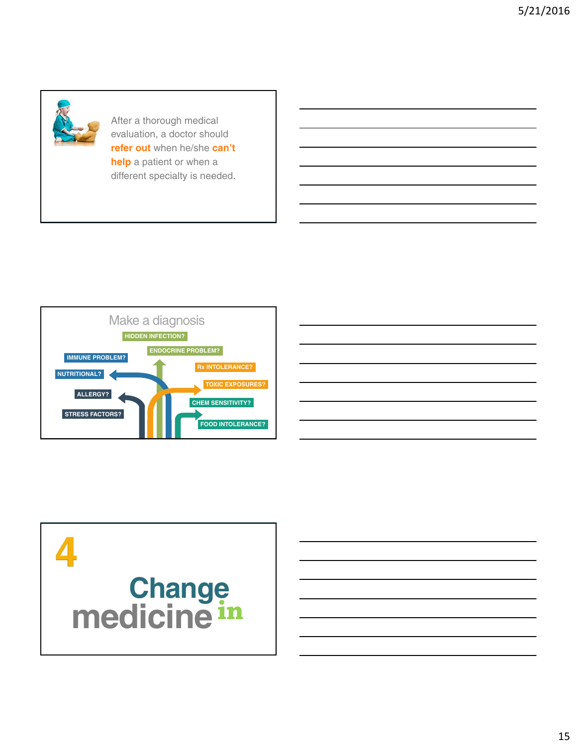

After a thorough medical evaluation, a doctor should **refer out** when he/she **can't help** a patient or when a different specialty is needed.





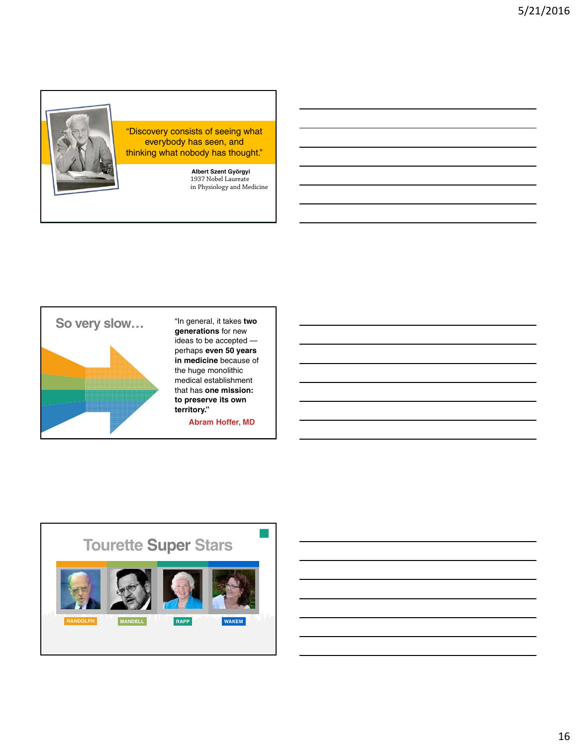

"Discovery consists of seeing what everybody has seen, and thinking what nobody has thought."

> **Albert Szent Györgyi** 1937 Nobel Laureate in Physiology and Medicine



"In general, it takes **two generations** for new ideas to be accepted perhaps **even 50 years in medicine** because of the huge monolithic medical establishment that has **one mission: to preserve its own territory."**

**Abram Hoffer, MD**

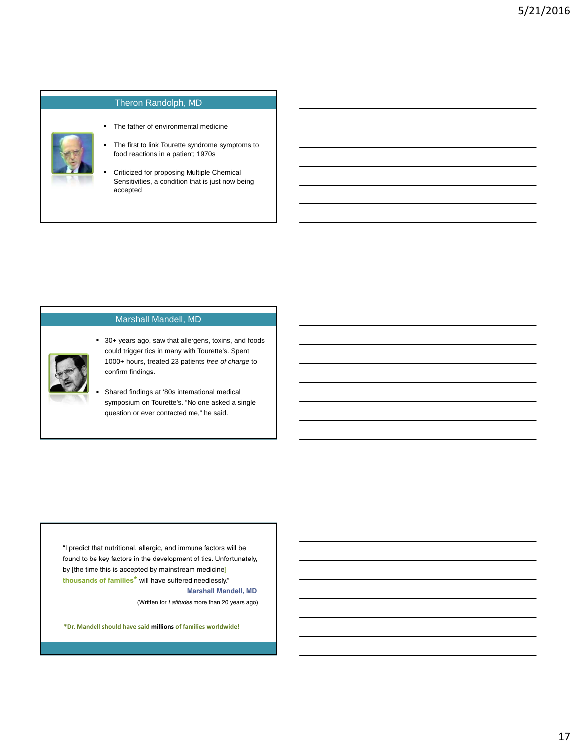#### Theron Randolph, MD

- The father of environmental medicine
- The first to link Tourette syndrome symptoms to food reactions in a patient; 1970s
- **Criticized for proposing Multiple Chemical** Sensitivities, a condition that is just now being accepted

#### Marshall Mandell, MD



 30+ years ago, saw that allergens, toxins, and foods could trigger tics in many with Tourette's. Spent 1000+ hours, treated 23 patients *free of charge* to confirm findings.

 Shared findings at '80s international medical symposium on Tourette's. "No one asked a single question or ever contacted me," he said.

"I predict that nutritional, allergic, and immune factors will be found to be key factors in the development of tics. Unfortunately, by [the time this is accepted by mainstream medicine**] thousands of families\*** will have suffered needlessly." **Marshall Mandell, MD**

(Written for *Latitudes* more than 20 years ago)

**\*Dr. Mandell should have said millions of families worldwide!**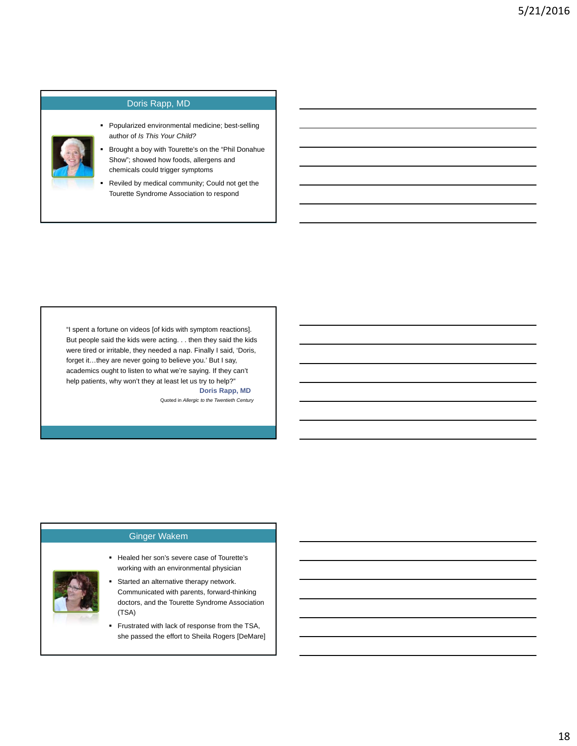

author of *Is This Your Child?* Brought a boy with Tourette's on the "Phil Donahue Show"; showed how foods, allergens and

Popularized environmental medicine; best-selling

chemicals could trigger symptoms

Doris Rapp, MD

 Reviled by medical community; Could not get the Tourette Syndrome Association to respond

**Doris Rapp, MD** "I spent a fortune on videos [of kids with symptom reactions]. But people said the kids were acting. . . then they said the kids were tired or irritable, they needed a nap. Finally I said, 'Doris, forget it…they are never going to believe you.' But I say, academics ought to listen to what we're saying. If they can't help patients, why won't they at least let us try to help?"

Quoted in *Allergic to the Twentieth Century*



#### Ginger Wakem

- Healed her son's severe case of Tourette's working with an environmental physician
- Started an alternative therapy network. Communicated with parents, forward-thinking doctors, and the Tourette Syndrome Association (TSA)
- **Frustrated with lack of response from the TSA,** she passed the effort to Sheila Rogers [DeMare]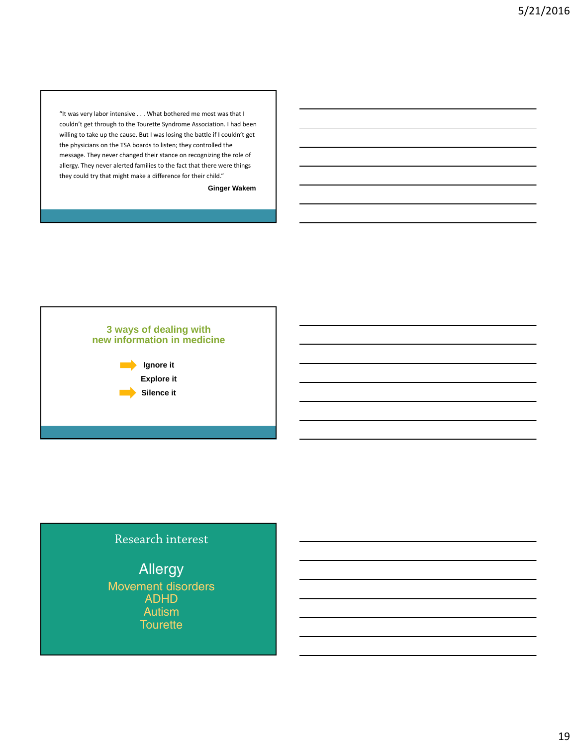"It was very labor intensive . . . What bothered me most was that I couldn't get through to the Tourette Syndrome Association. I had been willing to take up the cause. But I was losing the battle if I couldn't get the physicians on the TSA boards to listen; they controlled the message. They never changed their stance on recognizing the role of allergy. They never alerted families to the fact that there were things they could try that might make a difference for their child."

#### **Ginger Wakem**



#### Research interest

Allergy Movement disorders ADHD Autism **Tourette**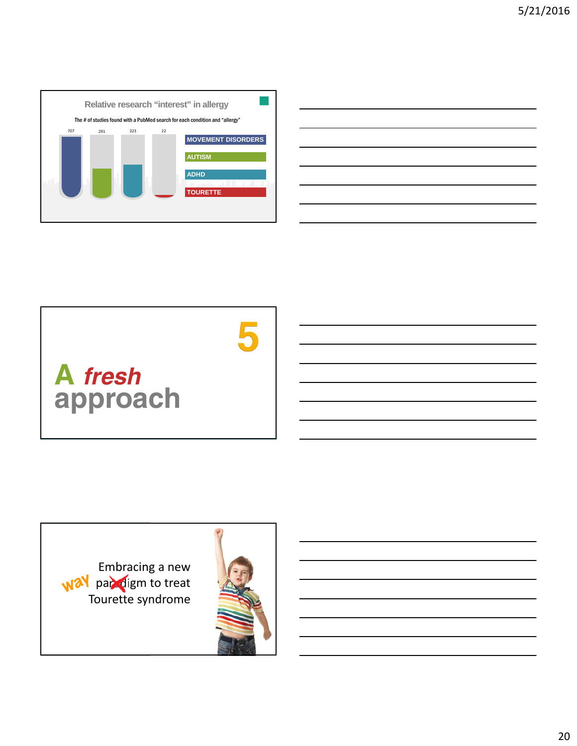

| <u> 1989 - Johann Stoff, amerikansk politiker (* 1908)</u>                      |  |  |
|---------------------------------------------------------------------------------|--|--|
|                                                                                 |  |  |
| the contract of the contract of the contract of the contract of the contract of |  |  |
|                                                                                 |  |  |
|                                                                                 |  |  |
|                                                                                 |  |  |
|                                                                                 |  |  |



Embracing a new paradigm to treat Tourette syndrome

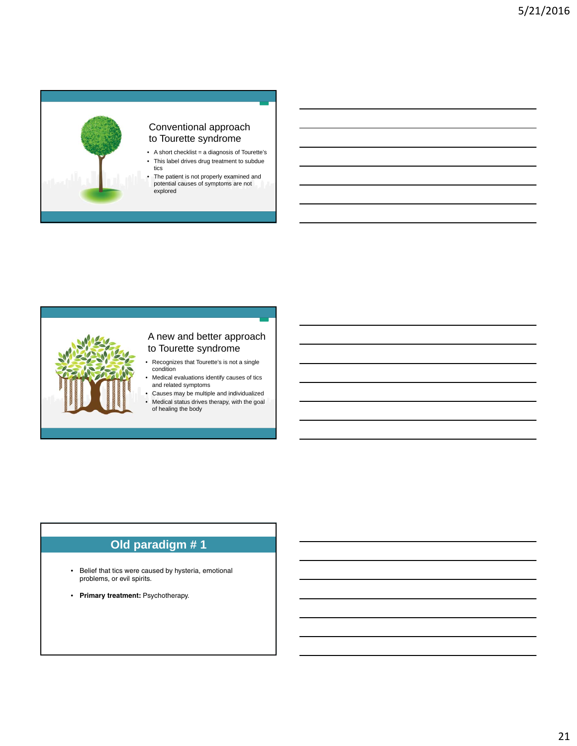



#### A new and better approach to Tourette syndrome

- Recognizes that Tourette's is not a single condition
- Medical evaluations identify causes of tics and related symptoms
- Causes may be multiple and individualized • Medical status drives therapy, with the goal of healing the body

#### **Old paradigm # 1**

- Belief that tics were caused by hysteria, emotional problems, or evil spirits.
- **Primary treatment:** Psychotherapy.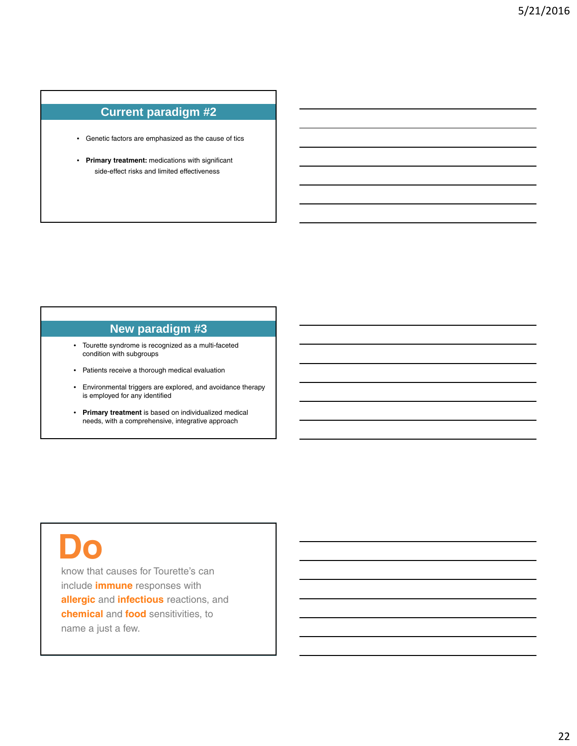#### **Current paradigm #2**

- Genetic factors are emphasized as the cause of tics
- **Primary treatment:** medications with significant side-effect risks and limited effectiveness

#### **New paradigm #3**

- Tourette syndrome is recognized as a multi-faceted condition with subgroups
- Patients receive a thorough medical evaluation
- Environmental triggers are explored, and avoidance therapy is employed for any identified
- **Primary treatment** is based on individualized medical needs, with a comprehensive, integrative approach

## **Do**

know that causes for Tourette's can include **immune** responses with **allergic** and **infectious** reactions, and **chemical** and **food** sensitivities, to name a just a few.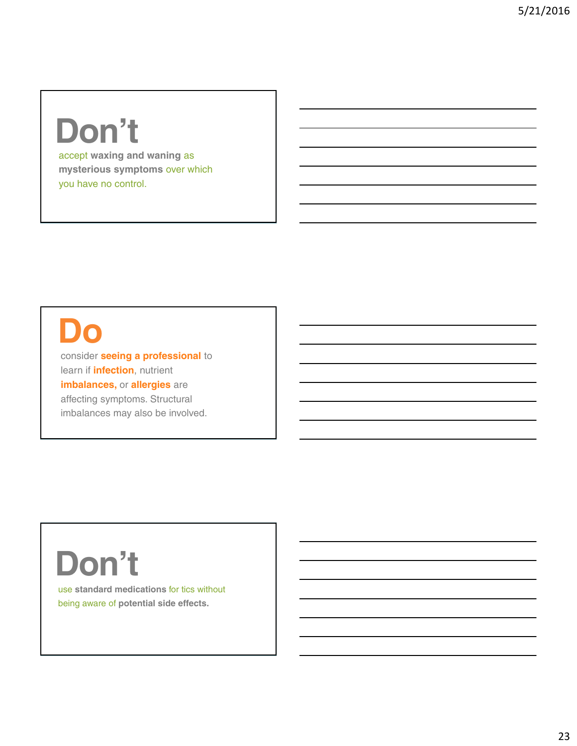### **Don't**

accept **waxing and waning** as **mysterious symptoms** over which you have no control.

### **Do**

consider **seeing a professional** to learn if **infection**, nutrient **imbalances,** or **allergies** are affecting symptoms. Structural imbalances may also be involved.

## **Don't**

use **standard medications** for tics without being aware of **potential side effects.**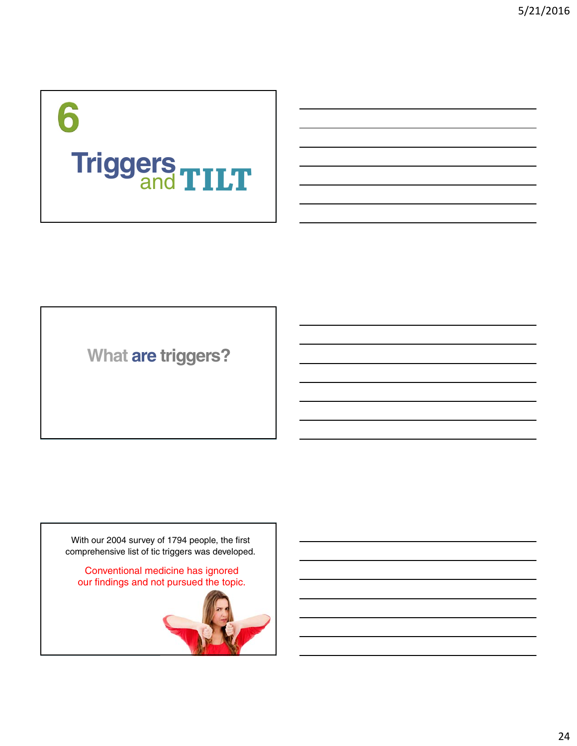# 6 **Triggers TILT**

**What are triggers?**

With our 2004 survey of 1794 people, the first comprehensive list of tic triggers was developed.

Conventional medicine has ignored our findings and not pursued the topic.

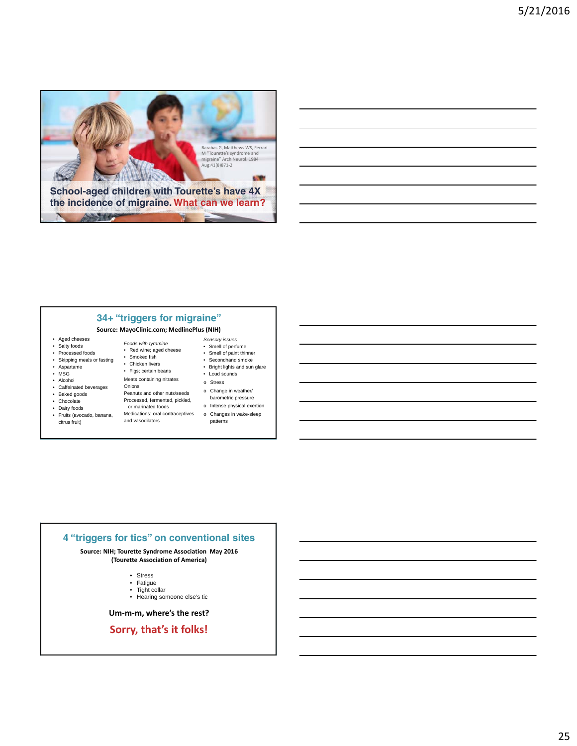

#### **Source: MayoClinic.com; MedlinePlus (NIH)**

- Aged cheeses • Salty foods
- Processed foods
- Skipping meals or fasting
- Aspartame
- MSG
- Alcohol
- Caffeinated beverages
- Baked goods
- Chocolate<br>• Dairy foods
- Dairy foods
- Fruits (avocado, banana, citrus fruit)
- Red wine; aged cheese • Smoked fish • Chicken livers
- Figs; certain beans

*Foods with tyramine*

- Meats containing nitrates Onions
- Peanuts and other nuts/seeds Processed, fermented, pickled,
- or marinated foods Medications: oral contraceptives
- and vasodilators
- Smell of perfume • Smell of paint thinner • Secondhand smoke
- Bright lights and sun glare
- Loud sounds

*Sensory issues*

- o Stress
- o Change in weather/ barometric pressure
- o Intense physical exertion o Changes in wake-sleep patterns

#### **4 "triggers for tics" on conventional sites**

**Source: NIH; Tourette Syndrome Association May 2016 (Tourette Association of America)**

- Stress
- Fatigue • Tight collar

• Hearing someone else's tic

**Um‐m‐m, where's the rest?**

**Sorry, that's it folks!**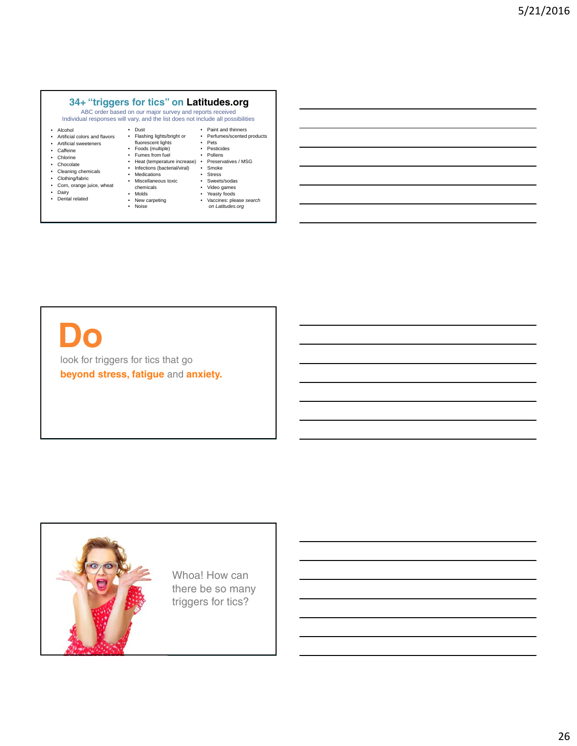#### **34+ "triggers for tics" on Latitudes.org**

ABC order based on our major survey and reports received Individual responses will vary, and the list does not include all possibilities

- Alcohol
- Artificial colors and flavors
- Artificial sweeteners • Caffeine
- Chlorine
- Chocolate
- Cleaning chemicals
- Clothing/fabric
- Corn, orange juice, wheat
- Dairy Dental related
- 
- Foods (multiple) • Fumes from fuel

chemicals • Molds • New carpeting • Noise

• Dust • Flashing lights/bright or fluorescent lights

- Heat (temperature increase) Infections (bacterial/viral) Smoke • Medications
- Miscellaneous toxic • Stress<br>• Sweets
	- Sweets/sodas<br>• Video games

• Pesticides<br>• Pollens • Pollens • Preservatives / MSG

• Video games<br>• Yeasty foods • Yeasty foods<br>• Vaccines: plea

• Paint and thinners • Perfumes/scented products • Pets

• Vaccines: please *search on Latitudes.org*

look for triggers for tics that go

Whoa! How can there be so many triggers for tics?



**Do**

**beyond stress, fatigue** and **anxiety.**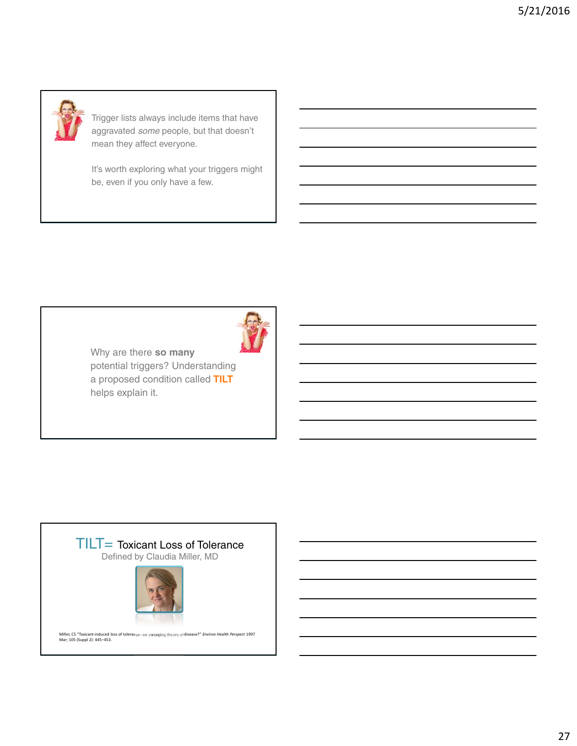

Trigger lists always include items that have aggravated *some* people, but that doesn't mean they affect everyone.

It's worth exploring what your triggers might be, even if you only have a few.



Why are there **so many** potential triggers? Understanding a proposed condition called **TILT**  helps explain it.

#### TILT= Toxicant Loss of Tolerance

Defined by Claudia Miller, MD



Miller, CS "Toxicant‐induced loss of tolerance‐‐an emerging theory of disease?" *Environ Health Perspect* 1997 Mar; 105 (Suppl 2): 445–453.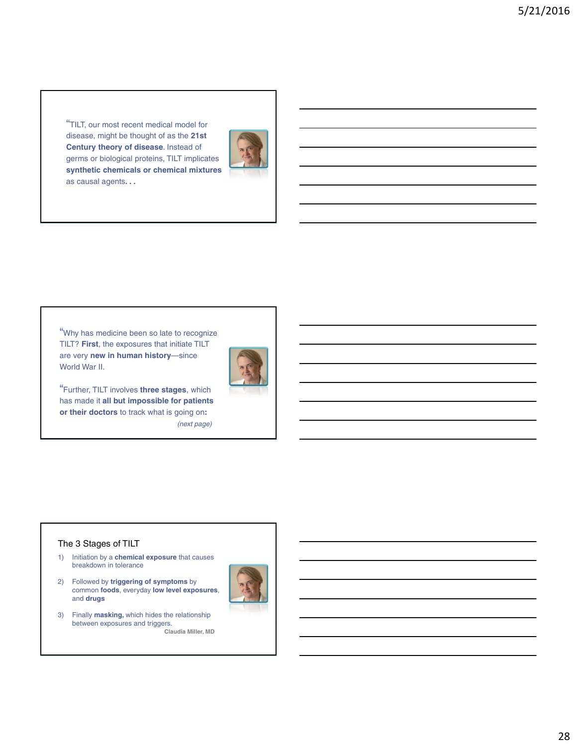"TILT, our most recent medical model for disease, might be thought of as the **21st Century theory of disease**. Instead of germs or biological proteins, TILT implicates **synthetic chemicals or chemical mixtures**  as causal agents**. . .** 



"Why has medicine been so late to recognize TILT? **First**, the exposures that initiate TILT are very **new in human history**—since World War II.



"Further, TILT involves **three stages**, which has made it **all but impossible for patients or their doctors** to track what is going on**:** *(next page)*

#### The 3 Stages of TILT

- 1) Initiation by a **chemical exposure** that causes breakdown in tolerance
- 2) Followed by **triggering of symptoms** by common **foods**, everyday **low level exposures**, and **drugs**



3) Finally **masking,** which hides the relationship between exposures and triggers. **Claudia Miller, MD**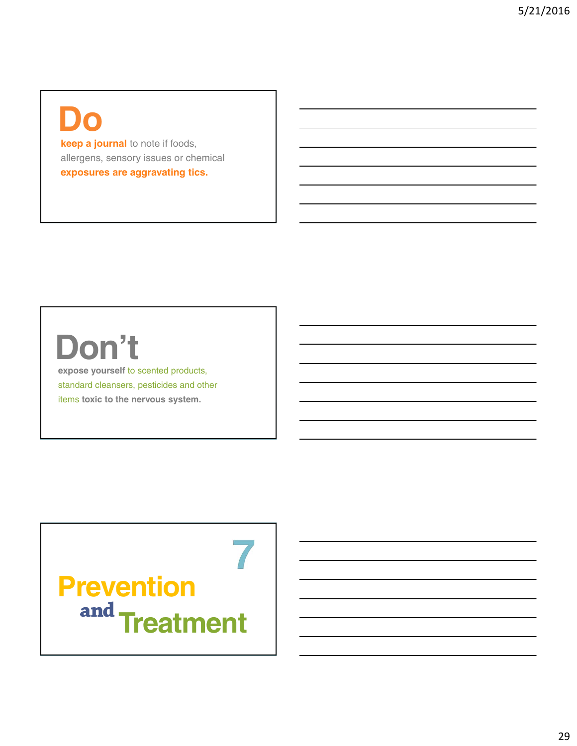### **Do**

**keep a journal** to note if foods, allergens, sensory issues or chemical **exposures are aggravating tics.**

## **Don't**

**expose yourself** to scented products, standard cleansers, pesticides and other items **toxic to the nervous system.**

**Prevention** and **Treatment**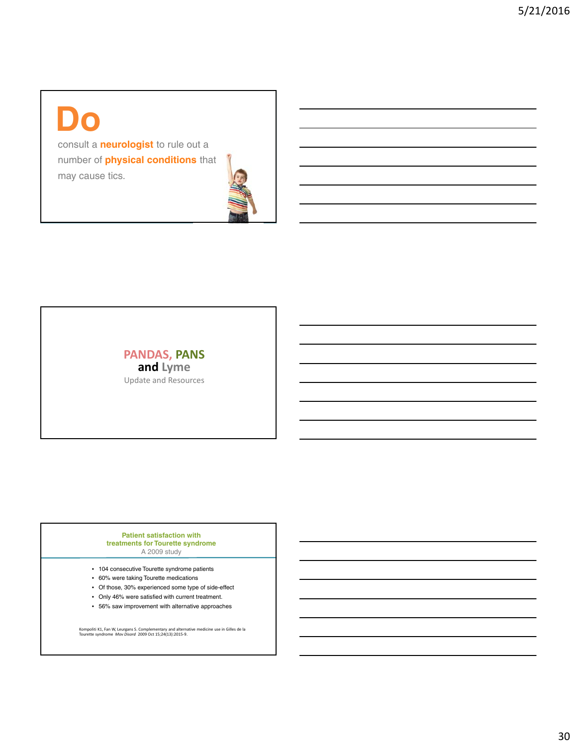### **Do**

consult a **neurologist** to rule out a number of **physical conditions** that may cause tics.



#### **PANDAS, PANS and Lyme** Update and Resources

#### **Patient satisfaction with treatments for Tourette syndrome**  A 2009 study

- 104 consecutive Tourette syndrome patients
- 60% were taking Tourette medications
- Of those, 30% experienced some type of side-effect
- Only 46% were satisfied with current treatment.
- 56% saw improvement with alternative approaches

Kompoliti K1, Fan W, Leurgans S. Complementary and alternative medicine use in Gilles de la Tourette syndrome *Mov Disord* 2009 Oct 15;24(13):2015‐9.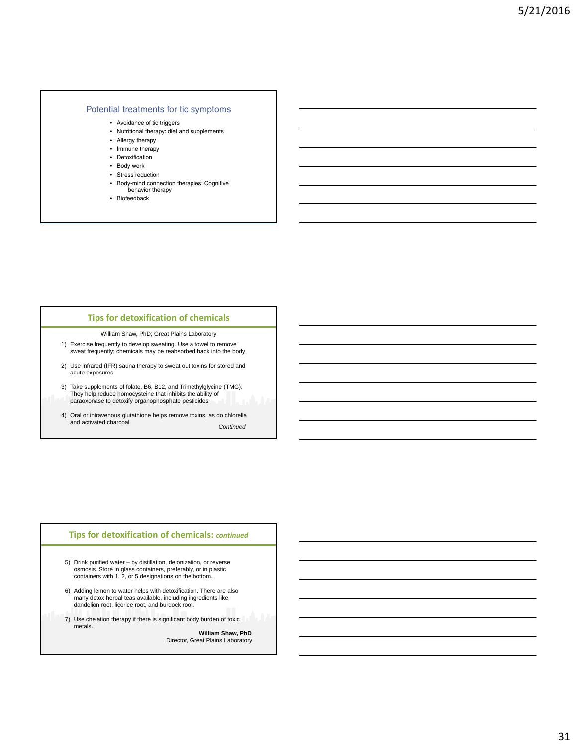#### Potential treatments for tic symptoms

- Avoidance of tic triggers
- Nutritional therapy: diet and supplements
- Allergy therapy
- Immune therapy
- Detoxification
- Body work
- Stress reduction
- Body-mind connection therapies; Cognitive behavior therapy
- Biofeedback

#### **Tips for detoxification of chemicals**

William Shaw, PhD; Great Plains Laboratory

- 1) Exercise frequently to develop sweating. Use a towel to remove sweat frequently; chemicals may be reabsorbed back into the body
- 2) Use infrared (IFR) sauna therapy to sweat out toxins for stored and acute exposures
- 3) Take supplements of folate, B6, B12, and Trimethylglycine (TMG). They help reduce homocysteine that inhibits the ability of paraoxonase to detoxify organophosphate pesticides
- 4) Oral or intravenous glutathione helps remove toxins, as do chlorella and activated charcoal *Continued*

#### **Tips for detoxification of chemicals:** *continued*

- 5) Drink purified water by distillation, deionization, or reverse osmosis. Store in glass containers, preferably, or in plastic containers with 1, 2, or 5 designations on the bottom.
- 6) Adding lemon to water helps with detoxification. There are also many detox herbal teas available, including ingredients like dandelion root, licorice root, and burdock root.
- 7) Use chelation therapy if there is significant body burden of toxic metals.

**William Shaw, PhD** Director, Great Plains Laboratory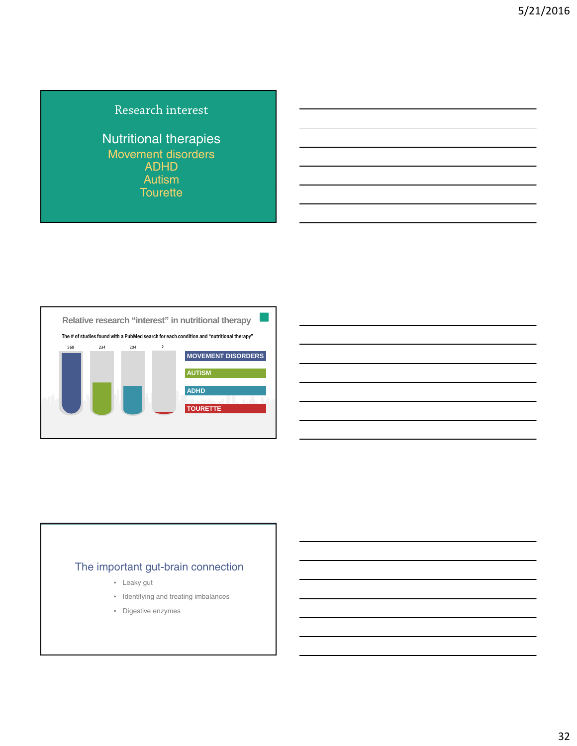#### Research interest

Nutritional therapies Movement disorders ADHD **Autism Tourette** 



#### The important gut-brain connection

- Leaky gut
- Identifying and treating imbalances
- Digestive enzymes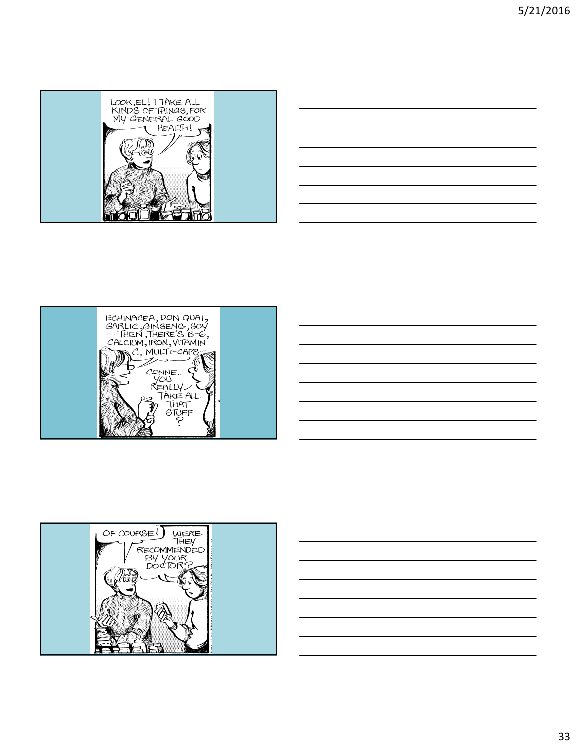







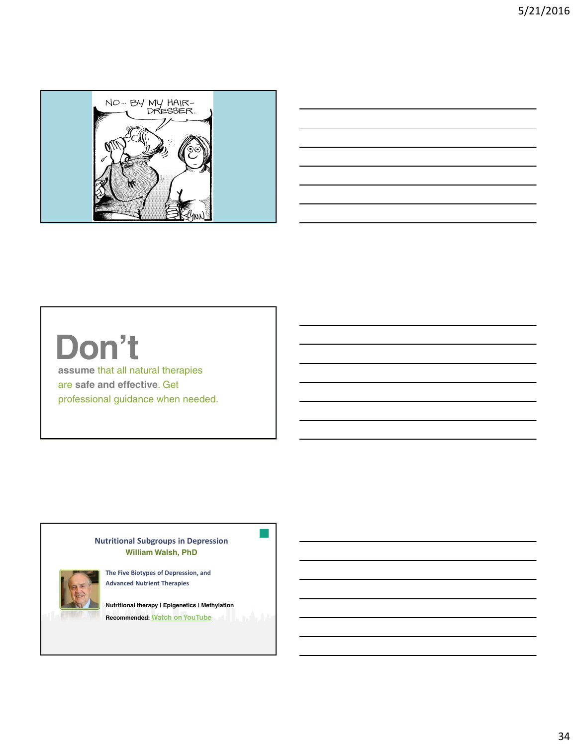



## **Don't**

**assume** that all natural therapies are **safe and effective**. Get professional guidance when needed.

> **Nutritional Subgroups in Depression William Walsh, PhD**



**The Five Biotypes of Depression, and Advanced Nutrient Therapies**

**Nutritional therapy | Epigenetics | Methylation Recommended: Watch on YouTube**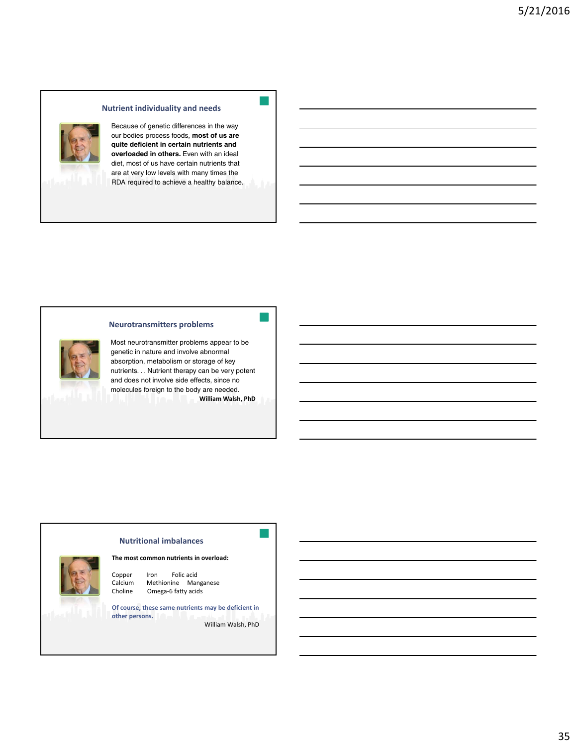#### **Nutrient individuality and needs**



Because of genetic differences in the way our bodies process foods, **most of us are quite deficient in certain nutrients and overloaded in others.** Even with an ideal diet, most of us have certain nutrients that are at very low levels with many times the RDA required to achieve a healthy balance.

#### **Neurotransmitters problems**

Most neurotransmitter problems appear to be genetic in nature and involve abnormal absorption, metabolism or storage of key nutrients. . . Nutrient therapy can be very potent and does not involve side effects, since no molecules foreign to the body are needed. **William Walsh, PhD**

#### **Nutritional imbalances**

#### **The most common nutrients in overload:**



Copper Iron Folic acid Calcium Methionine Manganese Choline Omega-6 fatty acids

**Of course, these same nutrients may be deficient in other persons.**

William Walsh, PhD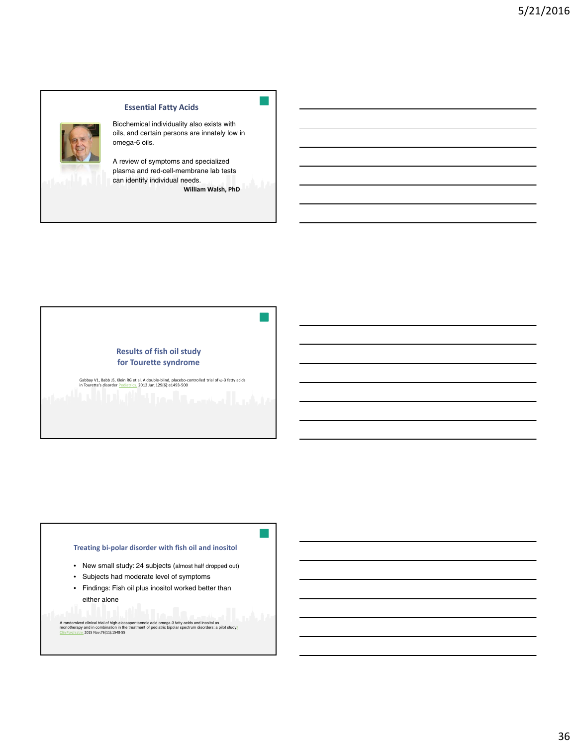

#### **Essential Fatty Acids**

Biochemical individuality also exists with oils, and certain persons are innately low in omega-6 oils.

A review of symptoms and specialized plasma and red-cell-membrane lab tests can identify individual needs.

**William Walsh, PhD**



Gabbay V1, Babb JS, Klein RG et al, A double-blind, placebo-controlled trial of ω-3 fatty acids<br>in Tourette's disorder <u>Pediatrics.</u> 2012 Jun;129(6):e1493-500

#### **Treating bi‐polar disorder with fish oil and inositol**

- New small study: 24 subjects (almost half dropped out)
- Subjects had moderate level of symptoms
- Findings: Fish oil plus inositol worked better than either alone

A randomized clinical trial of high eicosapentaenoic acid omega-3 fatty acids and inositol as<br>monotherapy and in combination in the treatment of pediatric bipolar spectrum disorders: a pilot study<u>!</u><br>Clin Psychiatry, 2015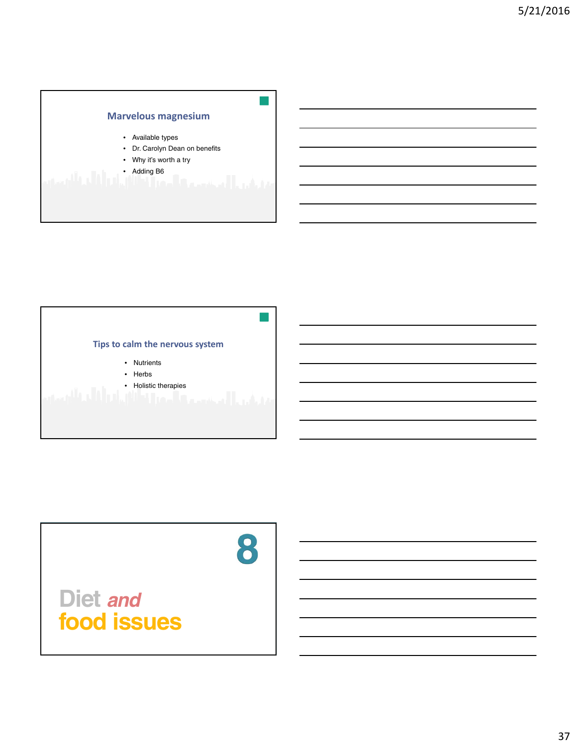

#### **Tips to calm the nervous system**

- Nutrients
- Herbs
- Holistic therapies

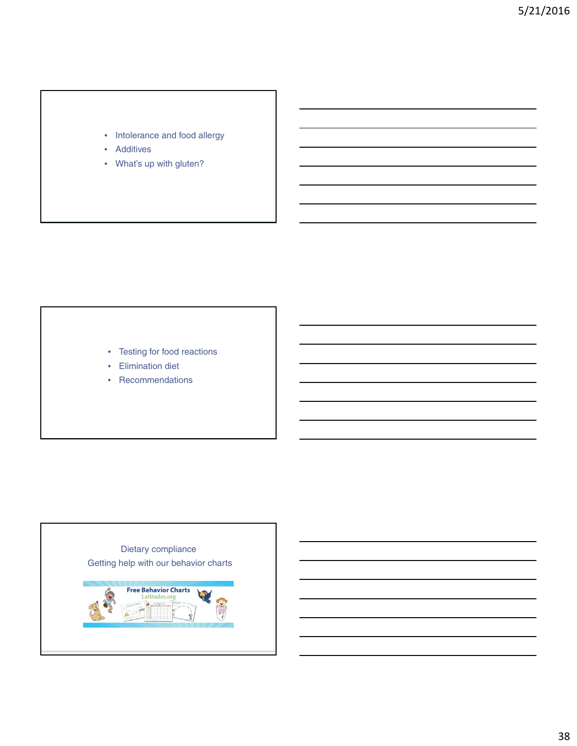#### • Intolerance and food allergy

- Additives
- What's up with gluten?

- Testing for food reactions
- Elimination diet
- Recommendations

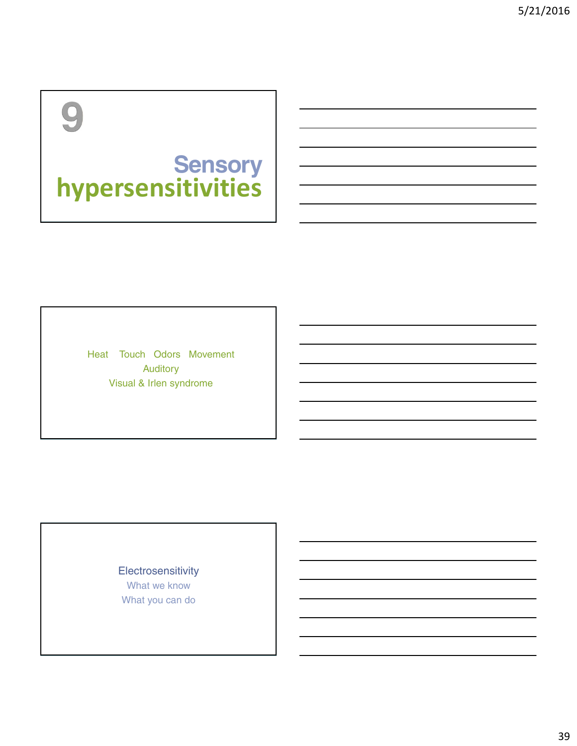## $\overline{O}$

### **Sensory hypersensitivities**

Heat Touch Odors Movement Auditory Visual & Irlen syndrome

> **Electrosensitivity** What we know What you can do